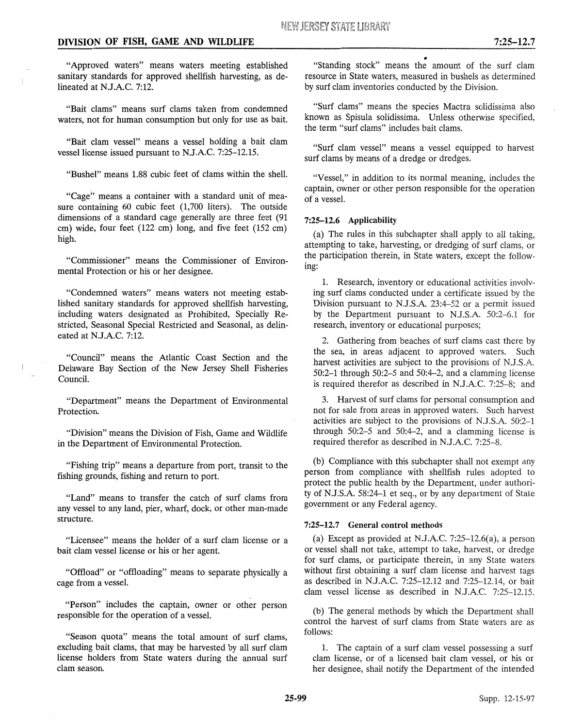"Approved waters" means waters meeting established sanitary standards for approved shellfish harvesting, as delineated at N.J.A.C. 7:12.

"Bait clams" means surf clams taken from condemned waters, not for human consumption but only for use as bait.

"Bait clam vessel" means a vessel holding a bait clam vessel license issued pursuant to N.J.A.C. 7:25-12.15.

"Bushel" means 1.88 cubic feet of clams within the shell.

"Cage" means a container with a standard unit of measure containing 60 cubic feet (1,700 liters). The outside dimensions of a standard cage generally are three feet (91 em) wide, four feet (122 em) long, and five feet (152 em) high.

"Commissioner" means the Commissioner of Environmental Protection or his or her designee.

"Condemned waters" means waters not meeting established sanitary standards for approved shellfish harvesting, including waters designated as Prohibited, Specially Restricted, Seasonal Special Restricted and Seasonal, as delineated at N.J.A.C. 7:12.

"Council" means the Atlantic Coast Section and the Delaware Bay Section of the New Jersey Shell Fisheries Council.

"Department" means the Department of Environmental Protection.

"Division" means the Division of Fish, Game and Wildlife in the Department of Environmental Protection.

"Fishing trip" means a departure from port, transit to the fishing grounds, fishing and return to port.

"Land" means to transfer the catch of surf clams from any vessel to any land, pier, wharf, dock, or other man-made structure.

"Licensee" means the holder of a surf clam license or a bait clam vessel license or his or her agent.

"Offload" or "offloading" means to separate physically a cage from a vessel.

"Person" includes the captain, owner or other person responsible for the operation of a vessel.

"Season quota" means the total amount of surf clams, excluding bait clams, that may be harvested by all surf clam license holders from State waters during the annual surf clam season.

• "Standing stock" means the amount of the surf clam resource in State waters, measured in bushels as determined by surf clam inventories conducted by the Division.

"Surf clams" means the species Mactra solidissima also known as Spisula solidissima. Unless otherwise specified, the term "surf clams" includes bait clams.

"Surf clam vessel" means a vessel equipped to harvest surf clams by means of a dredge or dredges.

"Vessel," in addition to its normal meaning, includes the captain, owner or other person responsible for the operation of a vessel.

# 7:25-12.6 Applicability

(a) The rules in this subchapter shall apply to all taking, attempting to take, harvesting, or dredging of surf clams, or the participation therein, in State waters, except the following:

1. Research, inventory or educational activities involving surf clams conducted under a certificate issued by the Division pursuant to N.J.S.A. 23:4-52 or a permit issued by the Department pursuant to N.J.S.A. 50:2-6.1 for research, inventory or educational purposes;

2. Gathering from beaches of surf clams cast there by the sea, in areas adjacent to approved waters. Such harvest activities are subject to the provisions of N.J.S.A. 50:2-1 through 50:2-5 and 50:4-2, and a clamming license is required therefor as described in N.J.A.C. 7:25-8; and

3. Harvest of surf clams for personal consumption and not for sale from areas in approved waters. Such harvest activities are subject to the provisions of N.J.S.A. 50:2-1 through  $50:2-5$  and  $50:4-2$ , and a clamming license is required therefor as described in N.J.A.C. 7:25-8.

(b) Compliance with this subchapter shall not exempt any person from compliance with shellfish rules adopted to protect the public health by the Department, under authority of N.J.S.A. 58:24-1 et seq., or by any department of State government or any Federal agency.

# 7:25-12.7 General control methods

(a) Except as provided at N.J.A.C. 7:25-12.6(a), a person or vessel shall not take, attempt to take, harvest, or dredge for surf clams, or participate therein, in any State waters without first obtaining a surf clam license and harvest tags as described in N.J.A.C. 7:25-12.12 and 7:25-12.14, or bait clam vessel license as described in N.J.A.C. 7:25-12.15.

(b) The general methods by which the Department shall control the harvest of surf clams from State waters are as follows:

1. The captain of a surf clam vessel possessing a surf clam license, or of a licensed bait clam vessel, or his or her designee, shall notify the Department of the intended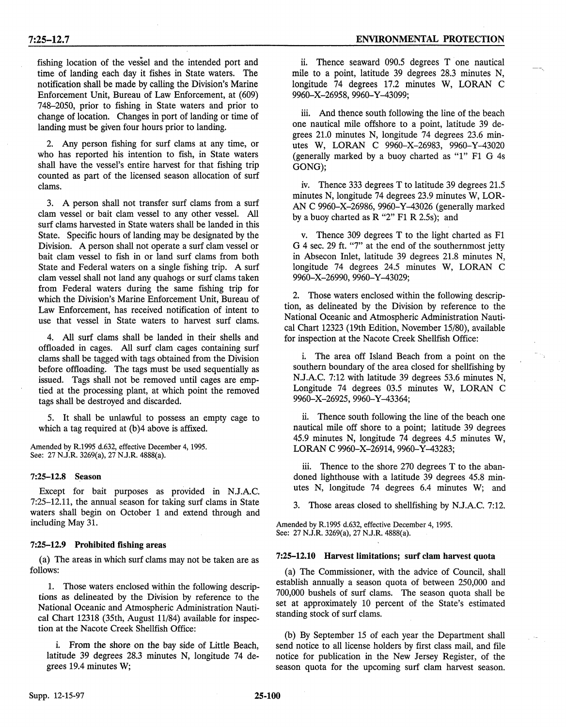fishing location of the vessel and the intended port and time of landing each day it fishes in State waters. The notification shall be made by calling the Division's Marine Enforcement Unit, Bureau of Law Enforcement, at (609) 748-2050, prior to fishing in State waters and prior to change of location. Changes in port of landing or time of landing must be given four hours prior to landing.

2. Any person fishing for surf clams at any time, or who has reported his intention to fish, in State waters shall have the vessel's entire harvest for that fishing trip counted as part of the licensed season allocation of surf clams.

3. A person shall not transfer surf clams from a surf clam vessel or bait clam vessel to any other vessel. All surf clams harvested in State waters shall be landed in this State. Specific hours of landing may be designated by the Division. A person shall not operate a surf clam vessel or bait clam vessel to fish in or land surf clams from both State and Federal waters on a single fishing trip. A surf clam vessel shall not land any quahogs or surf clams taken from Federal waters during the same fishing trip for which the Division's Marine Enforcement Unit, Bureau of Law Enforcement, has received notification of intent to use that vessel in State waters to harvest surf clams.

4. All surf clams shall be landed in their shells and offloaded in cages. All surf clam cages containing surf clams shall be tagged with tags obtained from the Division before offloading. The tags must be used sequentially as issued. Tags shall not be removed until cages are emptied at the processing plant, at which point the removed tags shall be destroyed and discarded.

5. It shall be unlawful to possess an empty cage to which a tag required at (b)4 above is affixed.

Amended by R.1995 d.632, effective December 4, 1995. See: 27 N.J.R. 3269(a), 27 N.J.R. 4888(a).

### 7:25-12.8 Season

Except for bait purposes as provided in N.J.A.C. 7:25-12.11, the annual season for taking surf clams in State waters shall begin on October 1 and extend through and including May 31.

### 7:25-12.9 Prohibited fishing areas

(a) The areas in which surf clams may not be taken are as follows:

1. Those waters enclosed within the following descriptions as delineated by the Division by reference to the National Oceanic and Atmospheric Administration Nautical Chart 12318 (35th, August 11/84) available for inspection at the Nacote Creek Shellfish Office:

i. From the shore on the bay side of Little Beach, latitude 39 degrees 28.3 minutes N, longitude 74 degrees 19.4 minutes W;

ii. Thence seaward 090.5 degrees T one nautical mile to a point, latitude 39 degrees 28.3 minutes N, longitude 74 degrees 17.2 minutes W, LORAN C 9960-X-26958, 9960-Y -43099;

iii. And thence south following the line of the beach one nautical mile offshore to a point, latitude 39 degrees 21.0 minutes N, longitude 74 degrees 23.6 minutes W, LORAN C 9960-X-26983, 9960-Y -43020 (generally marked by a buoy charted as "1" F1 G 4s GONG);

iv. Thence 333 degrees T to latitude 39 degrees 21.5 minutes N, longitude 74 degrees 23.9 minutes W, LOR-AN C 9960-X-26986, 9960-Y-43026 (generally marked by a buoy charted as  $R$  "2" F1 R 2.5s); and

v. Thence 309 degrees T to the light charted as F1 G 4 sec. 29 ft. "7" at the end of the southernmost jetty in Absecon Inlet, latitude 39 degrees 21.8 minutes N, longitude 74 degrees 24.5 minutes W, LORAN C 9960-X-26990, 9960-Y -43029;

2. Those waters enclosed within the following description, as delineated by the Division by reference to the National Oceanic and Atmospheric Administration Nautical Chart 12323 (19th Edition, November 15/80), available for inspection at the Nacote Creek Shellfish Office:

i. The area off Island Beach from a point on the southern boundary of the area closed for shellfishing by N.J.A.C. 7:12 with latitude 39 degrees 53.6 minutes N, Longitude 74 degrees 03.5 minutes W, LORAN C 9960-X-26925, 9960-Y -43364;

ii. Thence south following the line of the beach one nautical mile off shore to a point; latitude 39 degrees 45.9 minutes N, longitude 74 degrees 4.5 minutes W, LORAN C 9960-X-26914, 9960-Y-43283;

iii. Thence to the shore 270 degrees T to the abandoned lighthouse with a latitude 39 degrees 45.8 minutes N, longitude 74 degrees 6.4 minutes W; and

3. Those areas closed to shellfishing by N.J.A.C. 7:12.

Amended by R.l995 d.632, effective December 4, 1995. See: 27 N.J.R. 3269(a), 27 N.J.R. 4888(a).

### 7:25-12.10 Harvest limitations; surf clam harvest quota

(a) The Commissioner, with the advice of Council, shall establish annually a season quota of between 250,000 and 700,000 bushels of surf clams. The season quota shall be set at approximately 10 percent of the State's estimated standing stock of surf clams.

(b) By September 15 of each year the Department shall send notice to all license holders by first class mail, and file notice for publication in the New Jersey Register, of the season quota for the upcoming surf clam harvest season.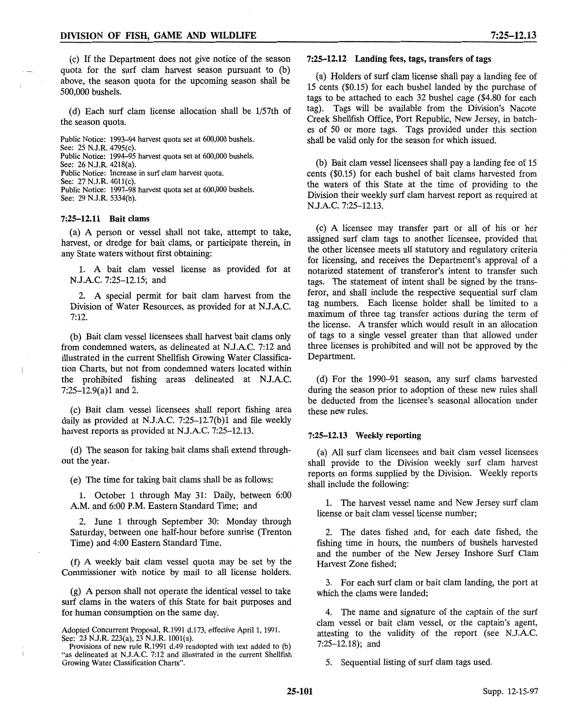(c) If the Department does not give notice of the season quota for the surf clam harvest season pursuant to (b) above, the season quota for the upcoming season shall be 500,000 bushels.

(d) Each surf clam license allocation shall be l/57th of the season quota.

Public Notice: 1993-94 harvest quota set at 600,000 bushels. See: 25 N.J.R. 4795(c). Public Notice: 1994–95 harvest quota set at 600,000 bushels. See: 26 N.J.R. 4218(a). Public Notice: Increase in surf clam harvest quota. See: 27 N.J.R. 4011(c). Public Notice: 1997–98 harvest quota set at 600,000 bushels. See: 29 N.J.R. 5334(b).

### 7:25-12.11 Bait clams

(a) A person or vessel shall not take, attempt to take, harvest, or dredge for bait clams, or participate therein, in any State waters without first obtaining:

1. A bait clam vessel license as provided for at N.J.A.C. 7:25-12.15; and

2. A special permit for bait clam harvest from the Division of Water Resources, as provided for at N.J.A.C. 7:12.

(b) Bait clam vessel licensees shall harvest bait clams only from condemned waters, as delineated at N.J.A.C. 7:12 and illustrated in the current Shellfish Growing Water Classification Charts, but not from condemned waters located within the prohibited fishing areas delineated at N.J.A.C. 7:25-12.9(a)1 and 2.

(c) Bait clam. vessel licensees shall report fishing area daily as provided at N.J.A.C. 7:25-12.7(b)1 and file weekly harvest reports as provided at N.J.A.C. 7:25-12.13.

(d) The season for taking bait clams shall extend throughout the year.

(e) The time for taking bait clams shall be as follows:

1. October 1 through May 31: Daily, between 6:00 A.M. and 6:00 P.M. Eastern Standard Time; and

2. June 1 through September 30: Monday through Saturday, between one half-hour before sunrise (Trenton Time) and 4:00 Eastern Standard Time.

(f) A weekly bait clam vessel quota may be set by the Commissioner with notice by mail to all license holders.

(g) A person shall not operate the identical vessel to take surf clams in the waters of this State for bait purposes and for human consumption on the same day.

# 7:25-12.12 Landing fees, tags, transfers of tags

(a) Holders of surf clam license shall pay a landing fee of 15 cents (\$0.15) for each bushel landed by the purchase of tags to be attached to each 32 bushel cage (\$4.80 for each tag). Tags will be available from the Division's Nacote Creek Shellfish Office, Port Republic, New Jersey, in batches of 50 or more tags. Tags provided under this section shall be valid only for the season for which issued.

(b) Bait clam vessel licensees shall pay a landing fee of 15 cents (\$0.15) for each bushel of bait clams harvested from the waters of this State at the time of providing to the Division their weekly surf clam harvest report as required at N.J.A.C. 7:25-12.13.

(c) A licensee may transfer part or all of his or her assigned surf clam tags to another licensee, provided that the other licensee meets all statutory and regulatory criteria for licensing, and receives the Department's approval of a notarized statement of transferor's intent to transfer such tags. The statement of intent shall be signed by the transferor, and shall include the respective sequential surf clam tag numbers. Each license holder shall be limited to a maximum of three tag transfer actions during the term of the license. A transfer which would result in an allocation of tags to a single vessel greater than that allowed under three licenses is prohibited and will not be approved by the Department.

· (d) For the 1990-91 season, any surf clams harvested during the season prior to adoption of these new rules shall be deducted from the licensee's seasonal allocation under these new rules.

#### 7:25-12.13 Weekly reporting

(a) All surf clam licensees and bait clam vessel licensees shall provide to the Division weekly surf clam harvest reports on forms supplied by the Division. Weekly reports shall include the following:

1. The harvest vessel name and New Jersey surf clam license or bait clam vessel license number;

2. The dates fished and, for each date fished, the fishing time in hours, the numbers of bushels harvested and the number of the New Jersey Inshore Surf Clam Harvest Zone fished;

3. For each surf clam or bait clam landing, the port at which the clams were landed;

4. The name and signature of the captain of the surf clam vessel or bait clam vessel, or the captain's agent, attesting to the validity of the report (see N.J.A.C. 7:25-12.18); and

5. Sequential listing of surf clam tags used.

Adopted Concurrent Proposal, R.1991 d.173, effective April 1, 1991. See: 23 N.J.R. 223(a), 23 N.J.R. 1001(a).

Provisions of new rule R.1991 d.49 readopted with text added to (b) "as delineated at N.J.A.C. 7:12 and illustrated in the current Shellfish Growing Water Classification Charts".